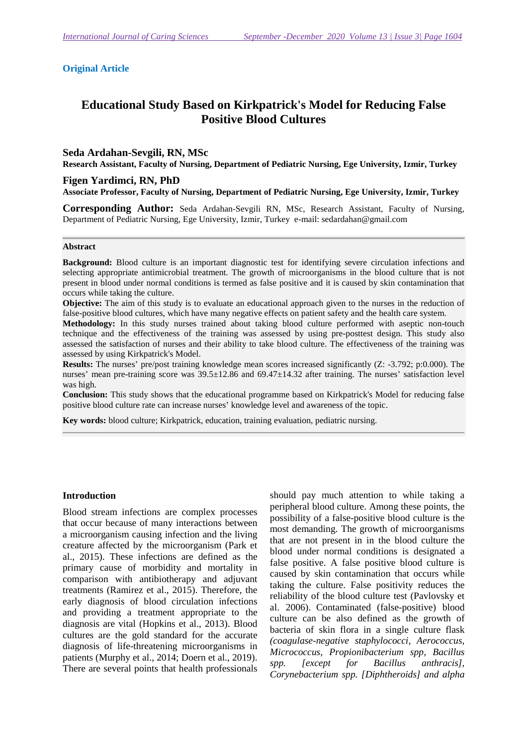#### **Original Article**

# **Educational Study Based on Kirkpatrick's Model for Reducing False Positive Blood Cultures**

#### **Seda Ardahan-Sevgili, RN, MSc**

**Research Assistant, Faculty of Nursing, Department of Pediatric Nursing, Ege University, Izmir, Turkey**

#### **Figen Yardimci, RN, PhD**

**Associate Professor, Faculty of Nursing, Department of Pediatric Nursing, Ege University, Izmir, Turkey** 

**Corresponding Author:** Seda Ardahan-Sevgili RN, MSc, Research Assistant, Faculty of Nursing, Department of Pediatric Nursing, Ege University, Izmir, Turkey e-mail: sedardahan@gmail.com

#### **Abstract**

**Background:** Blood culture is an important diagnostic test for identifying severe circulation infections and selecting appropriate antimicrobial treatment. The growth of microorganisms in the blood culture that is not present in blood under normal conditions is termed as false positive and it is caused by skin contamination that occurs while taking the culture.

**Objective:** The aim of this study is to evaluate an educational approach given to the nurses in the reduction of false-positive blood cultures, which have many negative effects on patient safety and the health care system.

**Methodology:** In this study nurses trained about taking blood culture performed with aseptic non-touch technique and the effectiveness of the training was assessed by using pre-posttest design. This study also assessed the satisfaction of nurses and their ability to take blood culture. The effectiveness of the training was assessed by using Kirkpatrick's Model.

**Results:** The nurses' pre/post training knowledge mean scores increased significantly (Z: -3.792; p:0.000). The nurses' mean pre-training score was 39.5±12.86 and 69.47±14.32 after training. The nurses' satisfaction level was high.

**Conclusion:** This study shows that the educational programme based on Kirkpatrick's Model for reducing false positive blood culture rate can increase nurses' knowledge level and awareness of the topic.

**Key words:** blood culture; Kirkpatrick, education, training evaluation, pediatric nursing.

#### **Introduction**

Blood stream infections are complex processes that occur because of many interactions between a microorganism causing infection and the living creature affected by the microorganism (Park et al., 2015). These infections are defined as the primary cause of morbidity and mortality in comparison with antibiotherapy and adjuvant treatments (Ramirez et al., 2015). Therefore, the early diagnosis of blood circulation infections and providing a treatment appropriate to the diagnosis are vital (Hopkins et al., 2013). Blood cultures are the gold standard for the accurate diagnosis of life-threatening microorganisms in patients (Murphy et al., 2014; Doern et al., 2019). There are several points that health professionals

should pay much attention to while taking a peripheral blood culture. Among these points, the possibility of a false-positive blood culture is the most demanding. The growth of microorganisms that are not present in in the blood culture the blood under normal conditions is designated a false positive. A false positive blood culture is caused by skin contamination that occurs while taking the culture. False positivity reduces the reliability of the blood culture test (Pavlovsky et al. 2006). Contaminated (false-positive) blood culture can be also defined as the growth of bacteria of skin flora in a single culture flask *(coagulase-negative staphylococci, Aerococcus, Micrococcus, Propionibacterium spp, Bacillus spp. [except for Bacillus anthracis], Corynebacterium spp. [Diphtheroids] and alpha*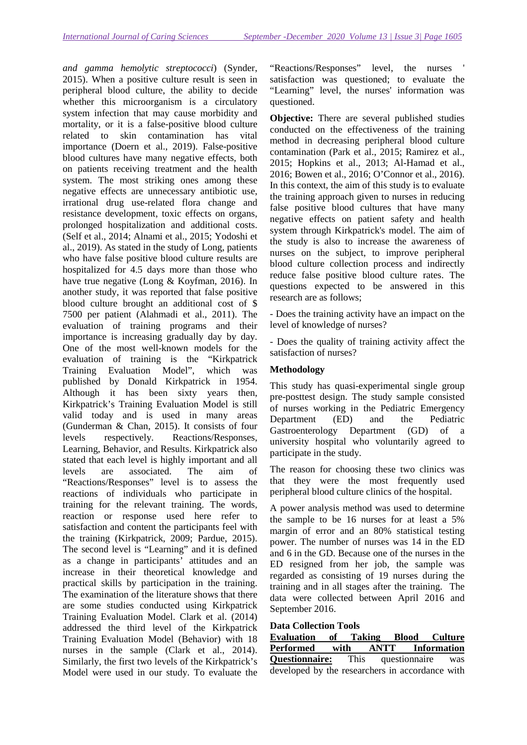*and gamma hemolytic streptococci*) (Synder, 2015). When a positive culture result is seen in peripheral blood culture, the ability to decide whether this microorganism is a circulatory system infection that may cause morbidity and mortality, or it is a false-positive blood culture related to skin contamination has vital importance (Doern et al., 2019). False-positive blood cultures have many negative effects, both on patients receiving treatment and the health system. The most striking ones among these negative effects are unnecessary antibiotic use, irrational drug use-related flora change and resistance development, toxic effects on organs, prolonged hospitalization and additional costs. (Self et al., 2014; Alnami et al., 2015; Yodoshi et al., 2019). As stated in the study of Long, patients who have false positive blood culture results are hospitalized for 4.5 days more than those who have true negative (Long & Koyfman, 2016). In another study, it was reported that false positive blood culture brought an additional cost of \$ 7500 per patient (Alahmadi et al., 2011). The evaluation of training programs and their importance is increasing gradually day by day. One of the most well-known models for the evaluation of training is the "Kirkpatrick Training Evaluation Model", which was published by Donald Kirkpatrick in 1954. Although it has been sixty years then, Kirkpatrick's Training Evaluation Model is still valid today and is used in many areas (Gunderman & Chan, 2015). It consists of four levels respectively. Reactions/Responses, Learning, Behavior, and Results. Kirkpatrick also stated that each level is highly important and all levels are associated. The aim of "Reactions/Responses" level is to assess the reactions of individuals who participate in training for the relevant training. The words, reaction or response used here refer to satisfaction and content the participants feel with the training (Kirkpatrick, 2009; Pardue, 2015). The second level is "Learning" and it is defined as a change in participants' attitudes and an increase in their theoretical knowledge and practical skills by participation in the training. The examination of the literature shows that there are some studies conducted using Kirkpatrick Training Evaluation Model. Clark et al. (2014) addressed the third level of the Kirkpatrick Training Evaluation Model (Behavior) with 18 nurses in the sample (Clark et al., 2014). Similarly, the first two levels of the Kirkpatrick's Model were used in our study. To evaluate the "Reactions/Responses" level, the nurses ' satisfaction was questioned; to evaluate the "Learning" level, the nurses' information was questioned.

**Objective:** There are several published studies conducted on the effectiveness of the training method in decreasing peripheral blood culture contamination (Park et al., 2015; Ramirez et al., 2015; Hopkins et al., 2013; Al-Hamad et al., 2016; Bowen et al., 2016; O'Connor et al., 2016). In this context, the aim of this study is to evaluate the training approach given to nurses in reducing false positive blood cultures that have many negative effects on patient safety and health system through Kirkpatrick's model. The aim of the study is also to increase the awareness of nurses on the subject, to improve peripheral blood culture collection process and indirectly reduce false positive blood culture rates. The questions expected to be answered in this research are as follows;

- Does the training activity have an impact on the level of knowledge of nurses?

- Does the quality of training activity affect the satisfaction of nurses?

## **Methodology**

This study has quasi-experimental single group pre-posttest design. The study sample consisted of nurses working in the Pediatric Emergency Department (ED) and the Pediatric Gastroenterology Department (GD) of a university hospital who voluntarily agreed to participate in the study.

The reason for choosing these two clinics was that they were the most frequently used peripheral blood culture clinics of the hospital.

A power analysis method was used to determine the sample to be 16 nurses for at least a 5% margin of error and an 80% statistical testing power. The number of nurses was 14 in the ED and 6 in the GD. Because one of the nurses in the ED resigned from her job, the sample was regarded as consisting of 19 nurses during the training and in all stages after the training. The data were collected between April 2016 and September 2016.

#### **Data Collection Tools**

| <b>Evaluation</b>                               | of |  | <b>Taking Blood Culture</b> |
|-------------------------------------------------|----|--|-----------------------------|
| Performed with                                  |    |  | <b>ANTT</b> Information     |
| <b>Questionnaire:</b> This questionnaire was    |    |  |                             |
| developed by the researchers in accordance with |    |  |                             |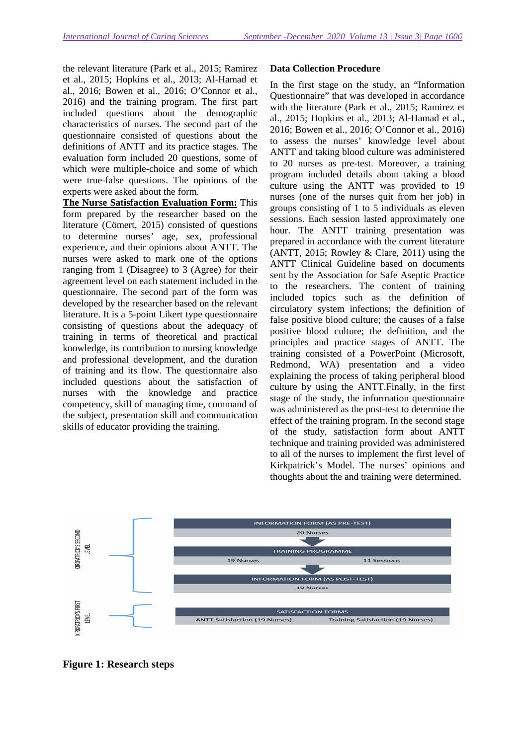the relevant literature (Park et al., 2015; Ramirez et al., 2015; Hopkins et al., 2013; Al-Hamad et al., 2016; Bowen et al., 2016; O'Connor et al., 2016) and the training program. The first part included questions about the demographic characteristics of nurses. The second part of the questionnaire consisted of questions about the definitions of ANTT and its practice stages. The evaluation form included 20 questions, some of which were multiple-choice and some of which were true-false questions. The opinions of the experts were asked about the form.

**The Nurse Satisfaction Evaluation Form:** This form prepared by the researcher based on the literature (Cömert, 2015) consisted of questions to determine nurses' age, sex, professional experience, and their opinions about ANTT. The nurses were asked to mark one of the options ranging from 1 (Disagree) to 3 (Agree) for their agreement level on each statement included in the questionnaire. The second part of the form was developed by the researcher based on the relevant literature. It is a 5-point Likert type questionnaire consisting of questions about the adequacy of training in terms of theoretical and practical knowledge, its contribution to nursing knowledge and professional development, and the duration of training and its flow. The questionnaire also included questions about the satisfaction of nurses with the knowledge and practice competency, skill of managing time, command of the subject, presentation skill and communication skills of educator providing the training.

## **Data Collection Procedure**

In the first stage on the study, an "Information Questionnaire" that was developed in accordance with the literature (Park et al., 2015; Ramirez et al., 2015; Hopkins et al., 2013; Al-Hamad et al., 2016; Bowen et al., 2016; O'Connor et al., 2016) to assess the nurses' knowledge level about ANTT and taking blood culture was administered to 20 nurses as pre-test. Moreover, a training program included details about taking a blood culture using the ANTT was provided to 19 nurses (one of the nurses quit from her job) in groups consisting of 1 to 5 individuals as eleven sessions. Each session lasted approximately one hour. The ANTT training presentation was prepared in accordance with the current literature (ANTT, 2015; Rowley  $&$  Clare, 2011) using the ANTT Clinical Guideline based on documents sent by the Association for Safe Aseptic Practice to the researchers. The content of training included topics such as the definition of circulatory system infections; the definition of false positive blood culture; the causes of a false positive blood culture; the definition, and the principles and practice stages of ANTT. The training consisted of a PowerPoint (Microsoft, Redmond, WA) presentation and a video explaining the process of taking peripheral blood culture by using the ANTT.Finally, in the first stage of the study, the information questionnaire was administered as the post-test to determine the effect of the training program. In the second stage of the study, satisfaction form about ANTT technique and training provided was administered to all of the nurses to implement the first level of Kirkpatrick's Model. The nurses' opinions and thoughts about the and training were determined.



**Figure 1: Research steps**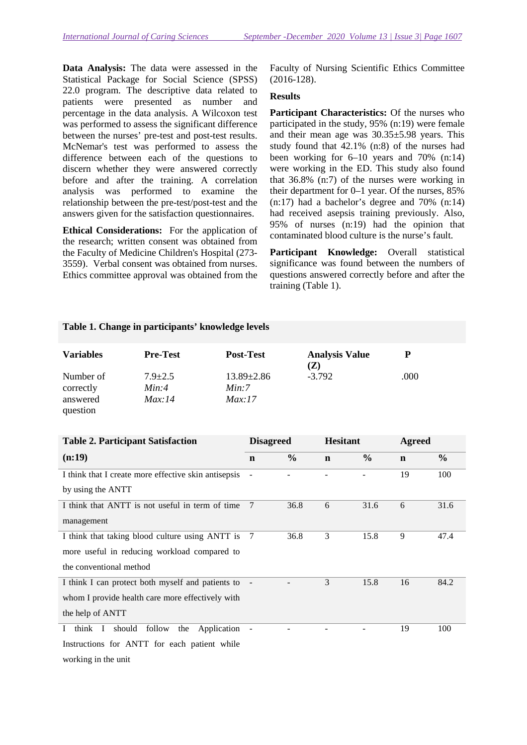**Data Analysis:** The data were assessed in the Statistical Package for Social Science (SPSS) 22.0 program. The descriptive data related to patients were presented as number and percentage in the data analysis. A Wilcoxon test was performed to assess the significant difference between the nurses' pre-test and post-test results. McNemar's test was performed to assess the difference between each of the questions to discern whether they were answered correctly before and after the training. A correlation analysis was performed to examine the relationship between the pre-test/post-test and the answers given for the satisfaction questionnaires.

**Ethical Considerations:** For the application of the research; written consent was obtained from the Faculty of Medicine Children's Hospital (273- 3559). Verbal consent was obtained from nurses. Ethics committee approval was obtained from the

Faculty of Nursing Scientific Ethics Committee (2016-128).

### **Results**

**Participant Characteristics:** Of the nurses who participated in the study, 95% (n:19) were female and their mean age was 30.35±5.98 years. This study found that 42.1% (n:8) of the nurses had been working for 6–10 years and 70% (n:14) were working in the ED. This study also found that 36.8% (n:7) of the nurses were working in their department for 0–1 year. Of the nurses, 85% (n:17) had a bachelor's degree and 70% (n:14) had received asepsis training previously. Also, 95% of nurses (n:19) had the opinion that contaminated blood culture is the nurse's fault.

**Participant Knowledge:** Overall statistical significance was found between the numbers of questions answered correctly before and after the training (Table 1).

### **Table 1. Change in participants' knowledge levels**

| <b>Variables</b>                               | <b>Pre-Test</b>                  | <b>Post-Test</b>                    | <b>Analysis Value</b><br>(Z) | P    |
|------------------------------------------------|----------------------------------|-------------------------------------|------------------------------|------|
| Number of<br>correctly<br>answered<br>question | $7.9 \pm 2.5$<br>Min:4<br>Max:14 | $13.89 \pm 2.86$<br>Min:7<br>Max:17 | $-3.792$                     | .000 |

| <b>Table 2. Participant Satisfaction</b>                          | <b>Disagreed</b>         |               | <b>Hesitant</b> |               | <b>Agreed</b> |               |
|-------------------------------------------------------------------|--------------------------|---------------|-----------------|---------------|---------------|---------------|
| (n:19)                                                            | $\mathbf n$              | $\frac{0}{0}$ | $\mathbf n$     | $\frac{0}{0}$ | $\mathbf n$   | $\frac{0}{0}$ |
| I think that I create more effective skin antisepsis              |                          |               |                 |               | 19            | 100           |
| by using the ANTT                                                 |                          |               |                 |               |               |               |
| I think that ANTT is not useful in term of time                   | 7                        | 36.8          | 6               | 31.6          | 6             | 31.6          |
| management                                                        |                          |               |                 |               |               |               |
| I think that taking blood culture using ANTT is                   | 7                        | 36.8          | 3               | 15.8          | 9             | 47.4          |
| more useful in reducing workload compared to                      |                          |               |                 |               |               |               |
| the conventional method                                           |                          |               |                 |               |               |               |
| I think I can protect both myself and patients to                 | $\overline{\phantom{a}}$ |               | 3               | 15.8          | 16            | 84.2          |
| whom I provide health care more effectively with                  |                          |               |                 |               |               |               |
| the help of ANTT                                                  |                          |               |                 |               |               |               |
| should<br>follow<br>Application<br>think I<br>the<br>$\mathbf{I}$ |                          |               |                 |               | 19            | 100           |
| Instructions for ANTT for each patient while                      |                          |               |                 |               |               |               |
| working in the unit                                               |                          |               |                 |               |               |               |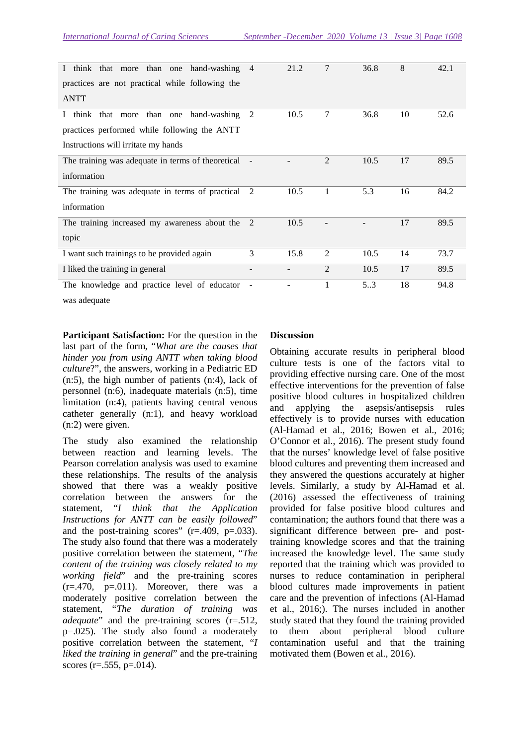| think that more than one hand-washing 4<br>$\bf{I}$<br>practices are not practical while following the |   | 21.2 | 7              | 36.8 | 8  | 42.1 |
|--------------------------------------------------------------------------------------------------------|---|------|----------------|------|----|------|
| <b>ANTT</b>                                                                                            |   |      |                |      |    |      |
| think that more than one hand-washing 2<br>$\Gamma$                                                    |   | 10.5 | 7              | 36.8 | 10 | 52.6 |
| practices performed while following the ANTT                                                           |   |      |                |      |    |      |
| Instructions will irritate my hands                                                                    |   |      |                |      |    |      |
| The training was adequate in terms of theoretical                                                      |   |      | 2              | 10.5 | 17 | 89.5 |
| information                                                                                            |   |      |                |      |    |      |
| The training was adequate in terms of practical                                                        | 2 | 10.5 | 1              | 5.3  | 16 | 84.2 |
| information                                                                                            |   |      |                |      |    |      |
| The training increased my awareness about the                                                          | 2 | 10.5 |                |      | 17 | 89.5 |
| topic                                                                                                  |   |      |                |      |    |      |
| I want such trainings to be provided again                                                             | 3 | 15.8 | $\overline{2}$ | 10.5 | 14 | 73.7 |
| I liked the training in general                                                                        |   |      | $\overline{2}$ | 10.5 | 17 | 89.5 |
| The knowledge and practice level of educator                                                           |   |      |                | 53   | 18 | 94.8 |

was adequate

**Participant Satisfaction:** For the question in the last part of the form, "*What are the causes that hinder you from using ANTT when taking blood culture*?", the answers, working in a Pediatric ED (n:5), the high number of patients (n:4), lack of personnel (n:6), inadequate materials (n:5), time limitation (n:4), patients having central venous catheter generally (n:1), and heavy workload (n:2) were given.

The study also examined the relationship between reaction and learning levels. The Pearson correlation analysis was used to examine these relationships. The results of the analysis showed that there was a weakly positive correlation between the answers for the statement, "*I think that the Application Instructions for ANTT can be easily followed*" and the post-training scores"  $(r=.409, p=.033)$ . The study also found that there was a moderately positive correlation between the statement, "*The content of the training was closely related to my working field*" and the pre-training scores  $(r=.470, p=.011)$ . Moreover, there was a moderately positive correlation between the statement, "*The duration of training was adequate*" and the pre-training scores (r=.512, p=.025). The study also found a moderately positive correlation between the statement, "*I liked the training in general*" and the pre-training scores ( $r = .555$ ,  $p = .014$ ).

### **Discussion**

Obtaining accurate results in peripheral blood culture tests is one of the factors vital to providing effective nursing care. One of the most effective interventions for the prevention of false positive blood cultures in hospitalized children and applying the asepsis/antisepsis rules effectively is to provide nurses with education (Al-Hamad et al., 2016; Bowen et al., 2016; O'Connor et al., 2016). The present study found that the nurses' knowledge level of false positive blood cultures and preventing them increased and they answered the questions accurately at higher levels. Similarly, a study by Al-Hamad et al. (2016) assessed the effectiveness of training provided for false positive blood cultures and contamination; the authors found that there was a significant difference between pre- and posttraining knowledge scores and that the training increased the knowledge level. The same study reported that the training which was provided to nurses to reduce contamination in peripheral blood cultures made improvements in patient care and the prevention of infections (Al-Hamad et al., 2016;). The nurses included in another study stated that they found the training provided to them about peripheral blood culture contamination useful and that the training motivated them (Bowen et al., 2016).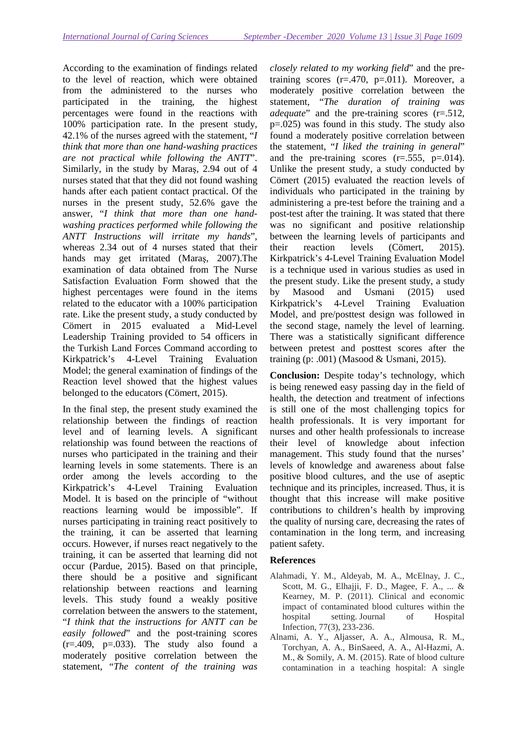According to the examination of findings related to the level of reaction, which were obtained from the administered to the nurses who participated in the training, the highest percentages were found in the reactions with 100% participation rate. In the present study, 42.1% of the nurses agreed with the statement, "*I think that more than one hand-washing practices are not practical while following the ANTT*". Similarly, in the study by Maraş, 2.94 out of 4 nurses stated that that they did not found washing hands after each patient contact practical. Of the nurses in the present study, 52.6% gave the answer, "*I think that more than one handwashing practices performed while following the ANTT Instructions will irritate my hands*", whereas 2.34 out of 4 nurses stated that their hands may get irritated (Maraş, 2007).The examination of data obtained from The Nurse Satisfaction Evaluation Form showed that the highest percentages were found in the items related to the educator with a 100% participation rate. Like the present study, a study conducted by Cömert in 2015 evaluated a Mid-Level Leadership Training provided to 54 officers in the Turkish Land Forces Command according to Kirkpatrick's 4-Level Training Evaluation Model; the general examination of findings of the Reaction level showed that the highest values belonged to the educators (Cömert, 2015).

In the final step, the present study examined the relationship between the findings of reaction level and of learning levels. A significant relationship was found between the reactions of nurses who participated in the training and their learning levels in some statements. There is an order among the levels according to the Kirkpatrick's 4-Level Training Evaluation Model. It is based on the principle of "without reactions learning would be impossible". If nurses participating in training react positively to the training, it can be asserted that learning occurs. However, if nurses react negatively to the training, it can be asserted that learning did not occur (Pardue, 2015). Based on that principle, there should be a positive and significant relationship between reactions and learning levels. This study found a weakly positive correlation between the answers to the statement, "*I think that the instructions for ANTT can be easily followed*" and the post-training scores  $(r=.409, p=.033)$ . The study also found a moderately positive correlation between the statement, "*The content of the training was* 

*closely related to my working field*" and the pretraining scores  $(r=.470, p=.011)$ . Moreover, a moderately positive correlation between the statement, "*The duration of training was adequate*" and the pre-training scores (r=.512, p=.025) was found in this study. The study also found a moderately positive correlation between the statement, "*I liked the training in general*" and the pre-training scores  $(r=.555, p=.014)$ . Unlike the present study, a study conducted by Cömert (2015) evaluated the reaction levels of individuals who participated in the training by administering a pre-test before the training and a post-test after the training. It was stated that there was no significant and positive relationship between the learning levels of participants and their reaction levels (Cömert, 2015). Kirkpatrick's 4-Level Training Evaluation Model is a technique used in various studies as used in the present study. Like the present study, a study by Masood and Usmani (2015) used Kirkpatrick's 4-Level Training Evaluation Model, and pre/posttest design was followed in the second stage, namely the level of learning. There was a statistically significant difference between pretest and posttest scores after the training (p: .001) (Masood & Usmani, 2015).

**Conclusion:** Despite today's technology, which is being renewed easy passing day in the field of health, the detection and treatment of infections is still one of the most challenging topics for health professionals. It is very important for nurses and other health professionals to increase their level of knowledge about infection management. This study found that the nurses' levels of knowledge and awareness about false positive blood cultures, and the use of aseptic technique and its principles, increased. Thus, it is thought that this increase will make positive contributions to children's health by improving the quality of nursing care, decreasing the rates of contamination in the long term, and increasing patient safety.

### **References**

- Alahmadi, Y. M., Aldeyab, M. A., McElnay, J. C., Scott, M. G., Elhajji, F. D., Magee, F. A., ... & Kearney, M. P. (2011). Clinical and economic impact of contaminated blood cultures within the hospital setting. Journal of Hospital Infection, 77(3), 233-236.
- Alnami, A. Y., Aljasser, A. A., Almousa, R. M., Torchyan, A. A., BinSaeed, A. A., Al-Hazmi, A. M., & Somily, A. M. (2015). Rate of blood culture contamination in a teaching hospital: A single